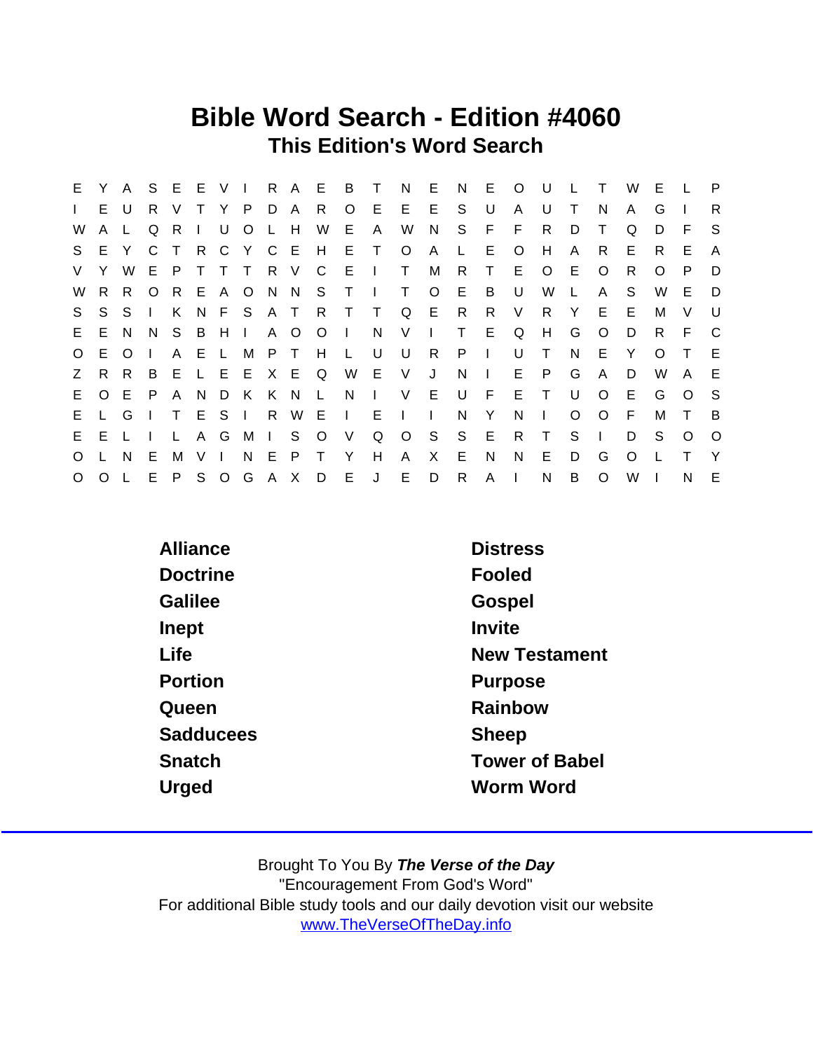## Bible Word Search - Edition #4060 This Edition's Word Search

| E.           | Y        | A       |              | S E E V I |                 |              |                |     |             |              | R A E B T         |              | N              | E.           | N            | E.           | $\circ$      | U            |          |              | W        | Е        |          | P        |
|--------------|----------|---------|--------------|-----------|-----------------|--------------|----------------|-----|-------------|--------------|-------------------|--------------|----------------|--------------|--------------|--------------|--------------|--------------|----------|--------------|----------|----------|----------|----------|
| $\mathbf{I}$ | E.       | U       | R.           | V         |                 | Y.           | P.             | D   | A           | - R          | $\circ$           | E            |                | $E$ $E$      | S.           | U            | A            | U            | Τ        | N            | A        | G        |          | R.       |
| W            | A        |         | Q            | R.        | $\Box$          | U            | O <sub>L</sub> |     | H           | W            | E                 | A            | W              | N.           | S.           | F.           | F            | R            | D        | Τ            | Q        | D        | E        | -S       |
| S.           |          | E Y     | $\mathsf{C}$ | $\top$    | $R_{\parallel}$ |              |                |     | C Y C E H   |              | ET                |              | $\circ$        | $\mathsf{A}$ | $\mathsf{L}$ | E.           | $\circ$      | H            | A        | R.           | E.       | R.       | E.       | A        |
| V.           | Y.       | W       | E.           | P         | $\top$          | T.           | $\top$         |     | R V C       |              | E                 | $\mathbf{L}$ | $\top$         | M            | R            | $\top$       | E            | $\circ$      | E        | O            | R.       | $\Omega$ | P.       | D        |
| W            | R.       | R.      | $\circ$      |           |                 |              |                |     |             |              | R E A O N N S T I |              | $\top$         | $\circ$      | E.           | B            | U            | W            | L.       | A            | S        | W        | E.       | D        |
| S.           | S.       | S.      | $\Box$       | K.        |                 |              |                |     |             |              | N F S A T R T T   |              | Q E R          |              |              | R.           | V            | R.           | Y        | E            | E        | M        | V        | U        |
| E.           |          | E N     |              | N S       | B H             |              | $\blacksquare$ |     | A O         | $\circ$      | $\sim 1$ .        | N,           | V <sub>-</sub> | $\mathbf{L}$ | $\top$       | E.           | Q            | H            | G        | $\circ$      | D        | R.       | - F      | C        |
| $\circ$      | E.       | $\circ$ |              | A E       |                 | $\mathsf{L}$ |                |     | M P T H     |              | $\mathsf{L}$      | U            | U              | R            | P.           | $\sim 10^5$  | U            | $\top$       | N.       | E            | Y        | $\Omega$ |          | E        |
| Z            | R.       | R.      | B.           | E.        |                 |              |                |     | L E E X E Q |              |                   | W E V        |                | J            | N            | $\mathbf{1}$ | E.           | P.           | G        | A            | D        | W        | A        | E        |
| E.           | $\Omega$ | E.      | P            | A         |                 |              | N D K K N      |     |             | $\mathsf{L}$ | N.                | $\sim 1$ .   | V              | E            | U            | -F           | E            | $\top$       | U        | $\Omega$     | E.       | G        | $\Omega$ | -S       |
| E.           |          | L G     |              |           |                 | T E S I      |                | R   |             | W E          | IE.               |              | $\Box$         | $\mathbf{I}$ | N            | Y            | N            | $\mathbf{I}$ | $\Omega$ | $\Omega$     | -F       | M        | T        | <b>B</b> |
| E.           | E.       |         |              | L.        |                 | A G          |                | M I | S           | $\circ$      | V                 | Q            |                | $O_S$        | S.           | - E          | R.           | $\top$       | S        | $\mathbf{L}$ | D        | S        | $\Omega$ | $\circ$  |
| $\circ$      |          | N.      | E            | M         | V <sub>l</sub>  |              | N.             | - E | P           | $\top$       | Y                 | H            | $\mathsf{A}$   | X            | E            | N            | N            | E.           | D        | G            | $\Omega$ |          |          | Y        |
| $\circ$      | $\Omega$ |         | E            | P.        |                 |              |                |     |             |              | S O G A X D E J   |              | E.             | D            | $\mathsf{R}$ | $\mathsf{A}$ | $\mathbf{I}$ | N            | B        | $\circ$      | W        |          | N        | E        |

| Alliance         | <b>Distress</b>       |
|------------------|-----------------------|
| <b>Doctrine</b>  | Fooled                |
| Galilee          | Gospel                |
| Inept            | Invite                |
| Life             | <b>New Testament</b>  |
| Portion          | Purpose               |
| Queen            | Rainbow               |
| <b>Sadducees</b> | <b>Sheep</b>          |
| Snatch           | <b>Tower of Babel</b> |
| Urged            | Worm Word             |
|                  |                       |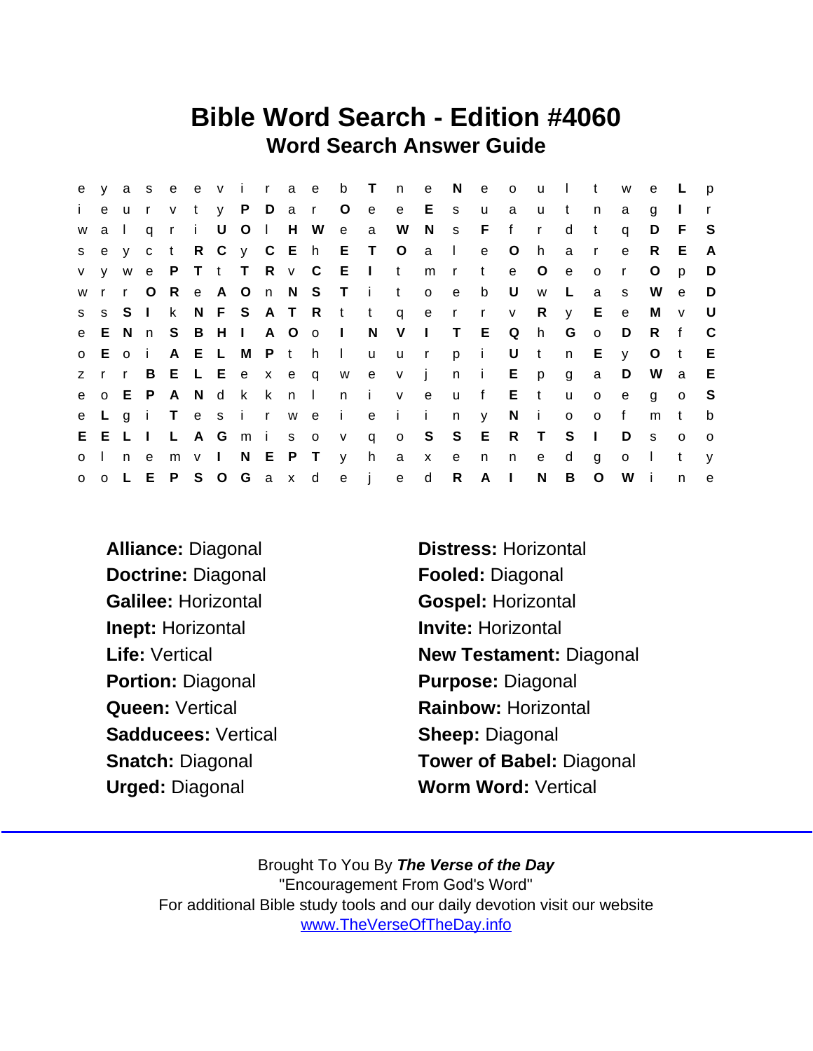## Bible Word Search - Edition #4060 Word Search Answer Guide

|              |       |       |         |               |  |  |                         |                                       |  |             |        |   |                | e y a s e e v i r a e b T n e N e o u I t w |              | e L          |              | $\mathsf{p}$   |
|--------------|-------|-------|---------|---------------|--|--|-------------------------|---------------------------------------|--|-------------|--------|---|----------------|---------------------------------------------|--------------|--------------|--------------|----------------|
| $\mathbf{i}$ |       | e u   |         |               |  |  |                         | r v t y P D a r O e e E s u a u t     |  |             |        |   |                | n                                           | a            | q            |              |                |
|              | w a I |       |         |               |  |  |                         | qri U O I H W e a W N s F f r         |  |             |        |   | d              | $\mathbf{t}$                                | q            | D            | - F          | S.             |
|              |       |       |         |               |  |  |                         | sey ct R C y C E h E T O a l e O h    |  |             |        |   | a              | $\mathsf{r}$                                | $\mathbf{e}$ | R.           | E            | A              |
|              |       |       |         |               |  |  |                         | v y w e P T t T R v C E I t           |  |             | mrte O |   | e              | $\circ$                                     | $\mathsf{r}$ | $\circ$      | p            | D              |
|              |       |       |         |               |  |  |                         | wrr O R e A O n N S T i t o e b U     |  |             |        | W | $\mathbb{L}^+$ | a a                                         | s.           |              | W e          | $\Box$         |
|              |       |       |         |               |  |  |                         | ss SI k N F S A T R t t q e r r v R y |  |             |        |   |                | E                                           | $\mathbf{e}$ | M            | $\mathsf{V}$ | U              |
|              |       |       |         |               |  |  |                         | e E N n S B H I A O o I N V I T E Q h |  |             |        |   | G o            |                                             | D            | R f          |              | $\mathbf{C}$   |
|              |       |       | o E o i |               |  |  |                         | A E L M P t h I u u r p i U t         |  |             |        |   | n              | E.                                          | y.           | $\circ$      | $-t$         | E              |
|              |       | z r r |         |               |  |  |                         | B E L E e x e q w e v j n i E p g     |  |             |        |   |                | $\mathsf{a}$                                | D            |              | W a          | E              |
|              |       |       | e o E P |               |  |  |                         | A N d k k n l n i v e u f E t         |  |             |        |   | $\mathsf{u}$   | $\overline{O}$                              | e            | $\mathbf{q}$ | $\circ$      | - S            |
|              |       |       |         |               |  |  |                         | e L g i T e s i r w e i e i i         |  | $n \quad y$ | Ni     |   |                | o o f                                       |              | m            | $-t$         | b              |
|              |       |       |         | E E L I L A G |  |  |                         | mis ov q o S S E R T                  |  |             |        |   | S <sub>1</sub> |                                             | D            | S.           | $\mathsf{o}$ | $\overline{O}$ |
|              |       |       |         |               |  |  | o I n e m v I N E P T y | h a x e                               |  |             | n n    | e | d              | g                                           | $\mathsf{o}$ | $\sim 1$ .   | t            | V              |
|              |       |       |         |               |  |  |                         | o o L E P S O G a x d e j e d         |  | $R$ $A$ $I$ |        | N | B              | $\circ$                                     | W            | - i          | n.           | $\mathsf{e}$   |

Doctrine: Diagonal Fooled: Diagonal Galilee: Horizontal Gospel: Horizontal Inept: Horizontal **Invite: Horizontal** Portion: Diagonal Purpose: Diagonal Sadducees: Vertical Sheep: Diagonal

Alliance: Diagonal Distress: Horizontal Life: Vertical **New Testament: Diagonal** Queen: Vertical **Rainbow: Horizontal** Snatch: Diagonal Tower of Babel: Diagonal Urged: Diagonal Worm Word: Vertical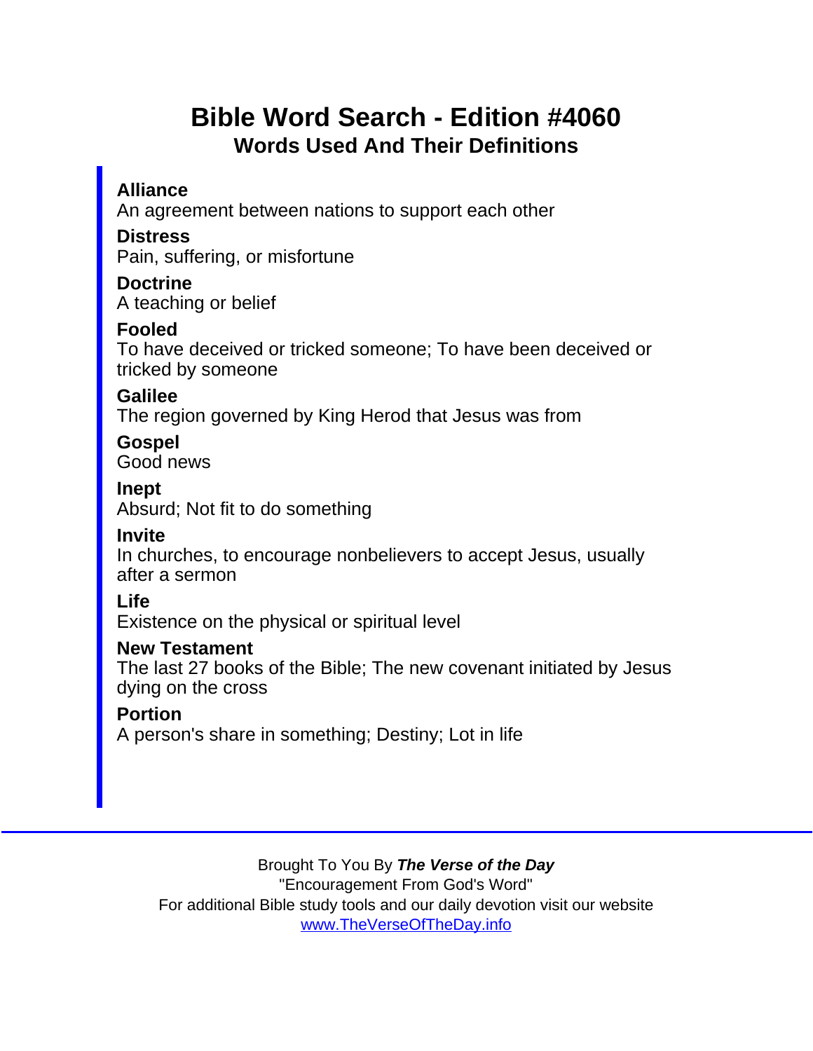# Bible Word Search - Edition #4060 Words Used And Their Definitions

Alliance An agreement between nations to support each other **Distress** Pain, suffering, or misfortune **Doctrine** A teaching or belief Fooled To have deceived or tricked someone; To have been deceived or tricked by someone Galilee The region governed by King Herod that Jesus was from Gospel Good news Inept Absurd; Not fit to do something Invite In churches, to encourage nonbelievers to accept Jesus, usually after a sermon Life Existence on the physical or spiritual level New Testament The last 27 books of the Bible; The new covenant initiated by Jesus dying on the cross **Portion** A person's share in something; Destiny; Lot in life